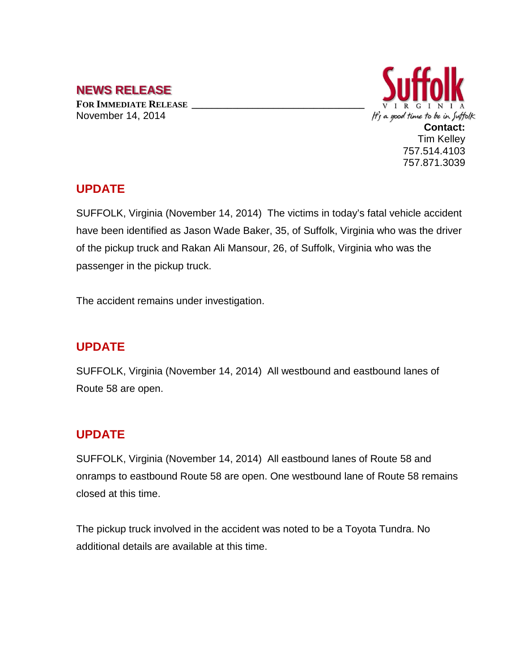# **NEWS RELEASE**

**FOR IMMEDIATE RELEASE \_\_\_\_\_\_\_\_\_\_\_\_\_\_\_\_\_\_\_\_\_\_\_\_\_\_\_\_\_\_\_\_\_\_** November 14, 2014



#### **UPDATE**

SUFFOLK, Virginia (November 14, 2014) The victims in today's fatal vehicle accident have been identified as Jason Wade Baker, 35, of Suffolk, Virginia who was the driver of the pickup truck and Rakan Ali Mansour, 26, of Suffolk, Virginia who was the passenger in the pickup truck.

The accident remains under investigation.

## **UPDATE**

SUFFOLK, Virginia (November 14, 2014) All westbound and eastbound lanes of Route 58 are open.

## **UPDATE**

SUFFOLK, Virginia (November 14, 2014) All eastbound lanes of Route 58 and onramps to eastbound Route 58 are open. One westbound lane of Route 58 remains closed at this time.

The pickup truck involved in the accident was noted to be a Toyota Tundra. No additional details are available at this time.